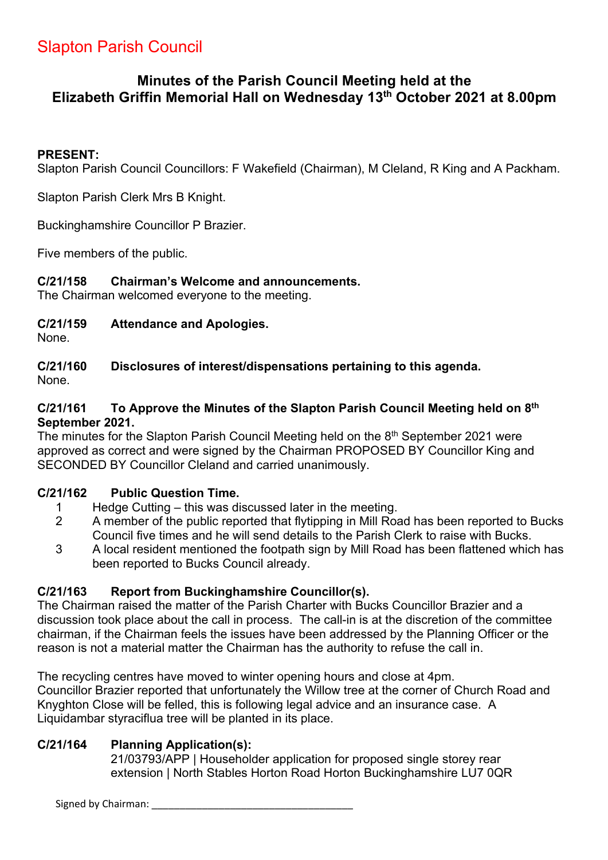# Slapton Parish Council

# **Minutes of the Parish Council Meeting held at the Elizabeth Griffin Memorial Hall on Wednesday 13th October 2021 at 8.00pm**

### **PRESENT:**

Slapton Parish Council Councillors: F Wakefield (Chairman), M Cleland, R King and A Packham.

Slapton Parish Clerk Mrs B Knight.

Buckinghamshire Councillor P Brazier.

Five members of the public.

### **C/21/158 Chairman's Welcome and announcements.**

The Chairman welcomed everyone to the meeting.

### **C/21/159 Attendance and Apologies.**

None.

**C/21/160 Disclosures of interest/dispensations pertaining to this agenda.** None.

### **C/21/161 To Approve the Minutes of the Slapton Parish Council Meeting held on 8th September 2021.**

The minutes for the Slapton Parish Council Meeting held on the  $8<sup>th</sup>$  September 2021 were approved as correct and were signed by the Chairman PROPOSED BY Councillor King and SECONDED BY Councillor Cleland and carried unanimously.

### **C/21/162 Public Question Time.**

- 1 Hedge Cutting this was discussed later in the meeting.
- 2 A member of the public reported that flytipping in Mill Road has been reported to Bucks Council five times and he will send details to the Parish Clerk to raise with Bucks.
- 3 A local resident mentioned the footpath sign by Mill Road has been flattened which has been reported to Bucks Council already.

### **C/21/163 Report from Buckinghamshire Councillor(s).**

The Chairman raised the matter of the Parish Charter with Bucks Councillor Brazier and a discussion took place about the call in process. The call-in is at the discretion of the committee chairman, if the Chairman feels the issues have been addressed by the Planning Officer or the reason is not a material matter the Chairman has the authority to refuse the call in.

The recycling centres have moved to winter opening hours and close at 4pm. Councillor Brazier reported that unfortunately the Willow tree at the corner of Church Road and Knyghton Close will be felled, this is following legal advice and an insurance case. A Liquidambar styraciflua tree will be planted in its place.

### **C/21/164 Planning Application(s):**

21/03793/APP | Householder application for proposed single storey rear extension | North Stables Horton Road Horton Buckinghamshire LU7 0QR

Signed by Chairman: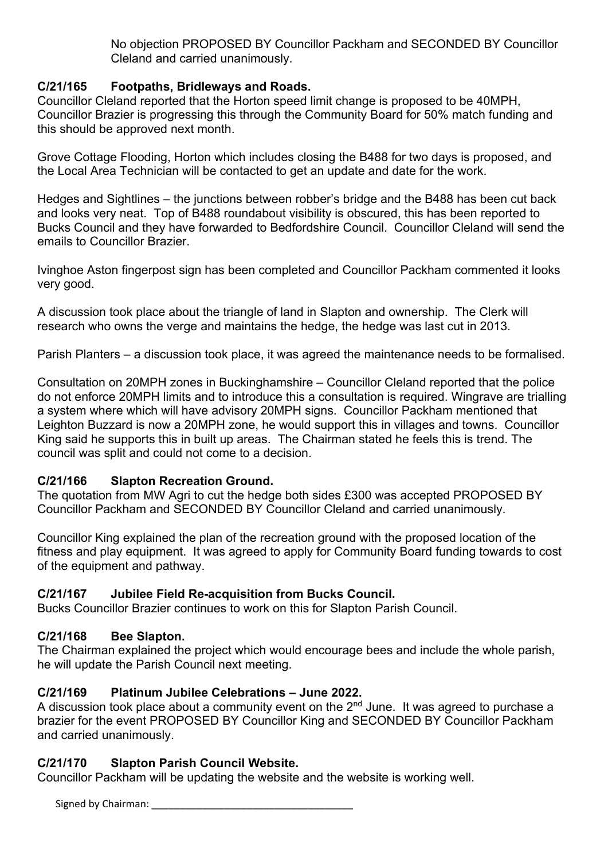No objection PROPOSED BY Councillor Packham and SECONDED BY Councillor Cleland and carried unanimously.

# **C/21/165 Footpaths, Bridleways and Roads.**

Councillor Cleland reported that the Horton speed limit change is proposed to be 40MPH, Councillor Brazier is progressing this through the Community Board for 50% match funding and this should be approved next month.

Grove Cottage Flooding, Horton which includes closing the B488 for two days is proposed, and the Local Area Technician will be contacted to get an update and date for the work.

Hedges and Sightlines – the junctions between robber's bridge and the B488 has been cut back and looks very neat. Top of B488 roundabout visibility is obscured, this has been reported to Bucks Council and they have forwarded to Bedfordshire Council. Councillor Cleland will send the emails to Councillor Brazier.

Ivinghoe Aston fingerpost sign has been completed and Councillor Packham commented it looks very good.

A discussion took place about the triangle of land in Slapton and ownership. The Clerk will research who owns the verge and maintains the hedge, the hedge was last cut in 2013.

Parish Planters – a discussion took place, it was agreed the maintenance needs to be formalised.

Consultation on 20MPH zones in Buckinghamshire – Councillor Cleland reported that the police do not enforce 20MPH limits and to introduce this a consultation is required. Wingrave are trialling a system where which will have advisory 20MPH signs. Councillor Packham mentioned that Leighton Buzzard is now a 20MPH zone, he would support this in villages and towns. Councillor King said he supports this in built up areas. The Chairman stated he feels this is trend. The council was split and could not come to a decision.

# **C/21/166 Slapton Recreation Ground.**

The quotation from MW Agri to cut the hedge both sides £300 was accepted PROPOSED BY Councillor Packham and SECONDED BY Councillor Cleland and carried unanimously.

Councillor King explained the plan of the recreation ground with the proposed location of the fitness and play equipment. It was agreed to apply for Community Board funding towards to cost of the equipment and pathway.

# **C/21/167 Jubilee Field Re-acquisition from Bucks Council.**

Bucks Councillor Brazier continues to work on this for Slapton Parish Council.

# **C/21/168 Bee Slapton.**

The Chairman explained the project which would encourage bees and include the whole parish, he will update the Parish Council next meeting.

# **C/21/169 Platinum Jubilee Celebrations – June 2022.**

A discussion took place about a community event on the  $2<sup>nd</sup>$  June. It was agreed to purchase a brazier for the event PROPOSED BY Councillor King and SECONDED BY Councillor Packham and carried unanimously.

# **C/21/170 Slapton Parish Council Website.**

Councillor Packham will be updating the website and the website is working well.

Signed by Chairman: